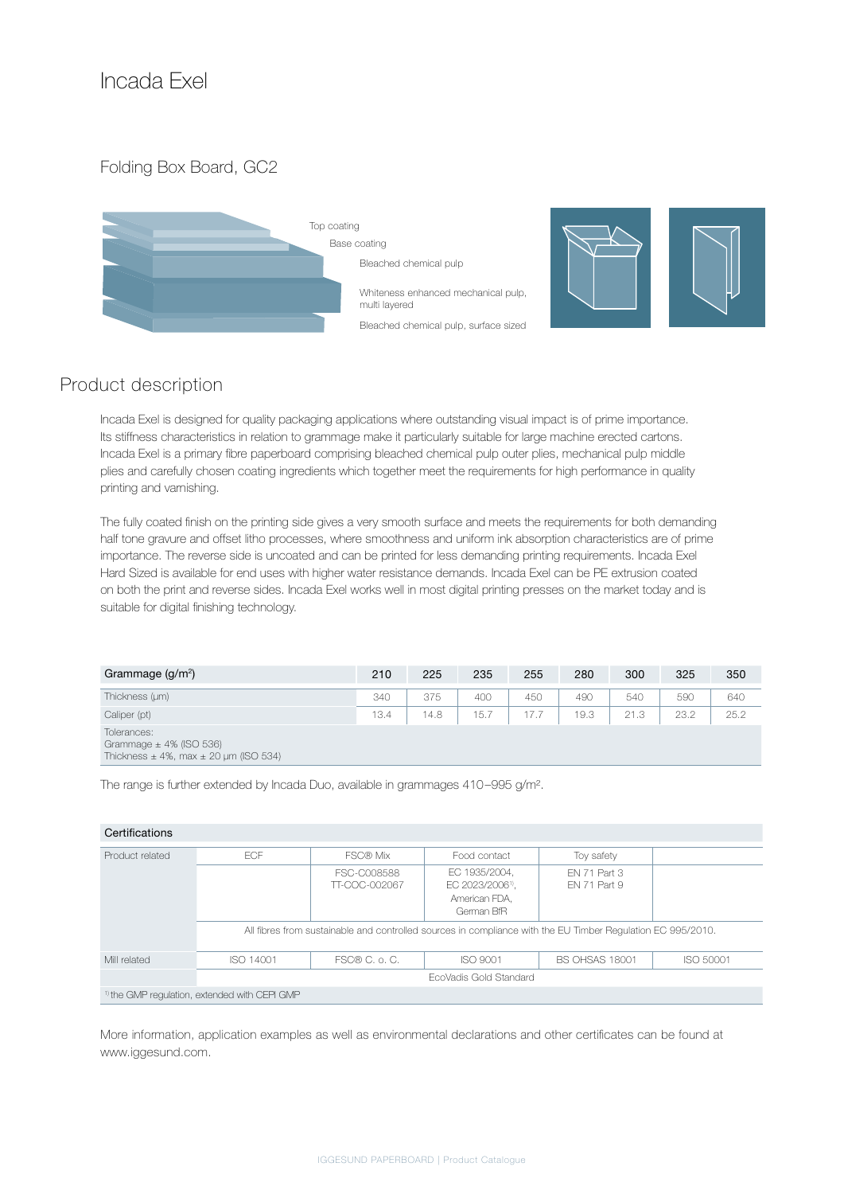## Incada Exel

Folding Box Board, GC2





## Product description

Incada Exel is designed for quality packaging applications where outstanding visual impact is of prime importance. Its stiffness characteristics in relation to grammage make it particularly suitable for large machine erected cartons. Incada Exel is a primary fibre paperboard comprising bleached chemical pulp outer plies, mechanical pulp middle plies and carefully chosen coating ingredients which together meet the requirements for high performance in quality printing and varnishing.

The fully coated finish on the printing side gives a very smooth surface and meets the requirements for both demanding half tone gravure and offset litho processes, where smoothness and uniform ink absorption characteristics are of prime importance. The reverse side is uncoated and can be printed for less demanding printing requirements. Incada Exel Hard Sized is available for end uses with higher water resistance demands. Incada Exel can be PE extrusion coated on both the print and reverse sides. Incada Exel works well in most digital printing presses on the market today and is suitable for digital finishing technology.

| Grammage $(g/m^2)$                                                                          | 210  | 225  | 235  | 255  | 280  | 300  | 325  | 350  |
|---------------------------------------------------------------------------------------------|------|------|------|------|------|------|------|------|
| Thickness (um)                                                                              | 340  | 375  | 400  | 450  | 490  | 540  | 590  | 640  |
| Caliper (pt)                                                                                | 13.4 | 14.8 | 15.7 | 17.7 | 19.3 | 21.3 | 23.2 | 25.2 |
| Tolerances:<br>Grammage $\pm$ 4% (ISO 536)<br>Thickness $\pm$ 4%, max $\pm$ 20 µm (ISO 534) |      |      |      |      |      |      |      |      |

The range is further extended by Incada Duo, available in grammages 410–995 g/m².

| Certifications                                           |                                                                                                             |                              |                                                                              |                              |           |  |  |  |  |  |
|----------------------------------------------------------|-------------------------------------------------------------------------------------------------------------|------------------------------|------------------------------------------------------------------------------|------------------------------|-----------|--|--|--|--|--|
| Product related                                          | <b>FCF</b>                                                                                                  | FSC® Mix                     | Food contact                                                                 | Toy safety                   |           |  |  |  |  |  |
|                                                          |                                                                                                             | FSC-C008588<br>TT-COC-002067 | EC 1935/2004.<br>EC 2023/2006 <sup>1)</sup> .<br>American FDA.<br>German BfR | FN 71 Part 3<br>EN 71 Part 9 |           |  |  |  |  |  |
|                                                          | All fibres from sustainable and controlled sources in compliance with the EU Timber Regulation EC 995/2010. |                              |                                                                              |                              |           |  |  |  |  |  |
| Mill related                                             | ISO 14001                                                                                                   | FSC® C. o. C.                | ISO 9001                                                                     | <b>BS OHSAS 18001</b>        | ISO 50001 |  |  |  |  |  |
|                                                          | EcoVadis Gold Standard                                                                                      |                              |                                                                              |                              |           |  |  |  |  |  |
| <sup>1)</sup> the GMP regulation, extended with CEPI GMP |                                                                                                             |                              |                                                                              |                              |           |  |  |  |  |  |

More information, application examples as well as environmental declarations and other certificates can be found at www.iggesund.com.